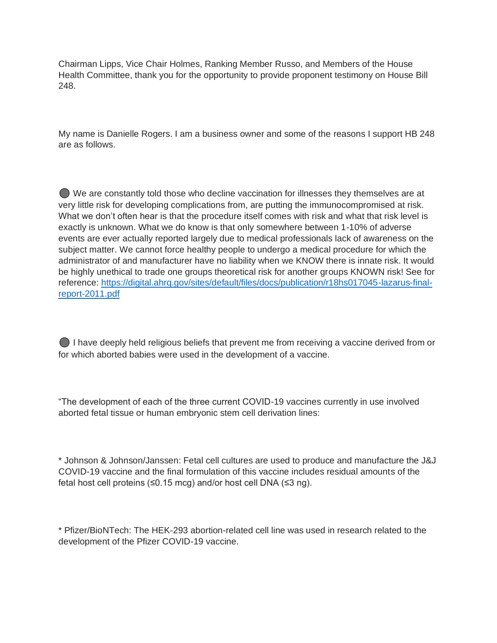Chairman Lipps, Vice Chair Holmes, Ranking Member Russo, and Members of the House Health Committee, thank you for the opportunity to provide proponent testimony on House Bill 248.

My name is Danielle Rogers. I am a business owner and some of the reasons I support HB 248 are as follows.

We are constantly told those who decline vaccination for illnesses they themselves are at very little risk for developing complications from, are putting the immunocompromised at risk. What we don't often hear is that the procedure itself comes with risk and what that risk level is exactly is unknown. What we do know is that only somewhere between 1-10% of adverse events are ever actually reported largely due to medical professionals lack of awareness on the subject matter. We cannot force healthy people to undergo a medical procedure for which the administrator of and manufacturer have no liability when we KNOW there is innate risk. It would be highly unethical to trade one groups theoretical risk for another groups KNOWN risk! See for reference: [https://digital.ahrq.gov/sites/default/files/docs/publication/r18hs017045-lazarus-final](https://digital.ahrq.gov/sites/default/files/docs/publication/r18hs017045-lazarus-final-report-2011.pdf)[report-2011.pdf](https://digital.ahrq.gov/sites/default/files/docs/publication/r18hs017045-lazarus-final-report-2011.pdf)

I have deeply held religious beliefs that prevent me from receiving a vaccine derived from or for which aborted babies were used in the development of a vaccine.

"The development of each of the three current COVID-19 vaccines currently in use involved aborted fetal tissue or human embryonic stem cell derivation lines:

\* Johnson & Johnson/Janssen: Fetal cell cultures are used to produce and manufacture the J&J COVID-19 vaccine and the final formulation of this vaccine includes residual amounts of the fetal host cell proteins (≤0.15 mcg) and/or host cell DNA (≤3 ng).

\* Pfizer/BioNTech: The HEK-293 abortion-related cell line was used in research related to the development of the Pfizer COVID-19 vaccine.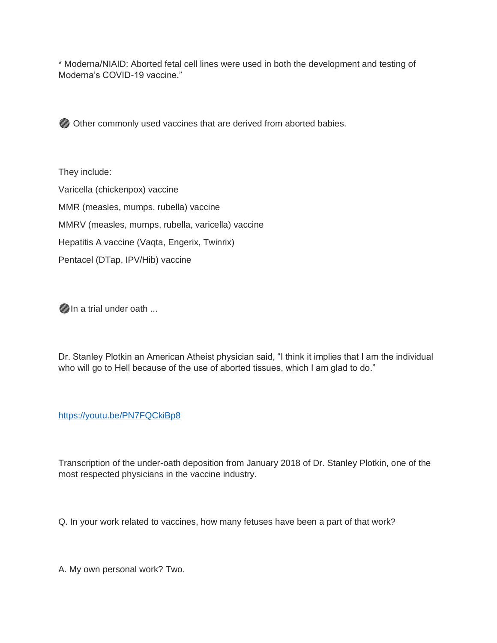\* Moderna/NIAID: Aborted fetal cell lines were used in both the development and testing of Moderna's COVID-19 vaccine."

Other commonly used vaccines that are derived from aborted babies.

They include: Varicella (chickenpox) vaccine MMR (measles, mumps, rubella) vaccine MMRV (measles, mumps, rubella, varicella) vaccine Hepatitis A vaccine (Vaqta, Engerix, Twinrix) Pentacel (DTap, IPV/Hib) vaccine

In a trial under oath ...

Dr. Stanley Plotkin an American Atheist physician said, "I think it implies that I am the individual who will go to Hell because of the use of aborted tissues, which I am glad to do."

## <https://youtu.be/PN7FQCkiBp8>

Transcription of the under-oath deposition from January 2018 of Dr. Stanley Plotkin, one of the most respected physicians in the vaccine industry.

Q. In your work related to vaccines, how many fetuses have been a part of that work?

A. My own personal work? Two.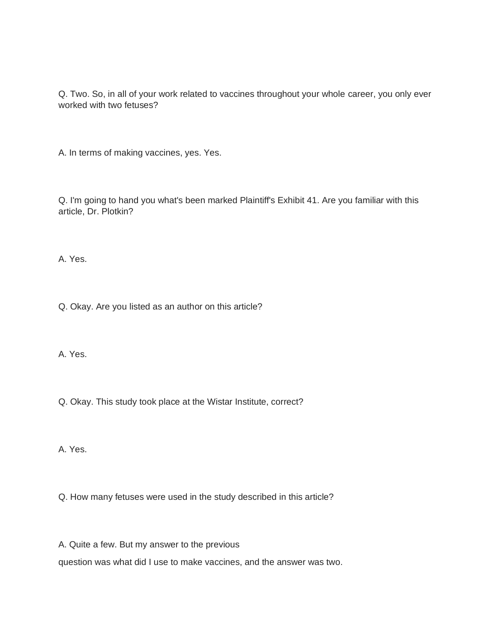Q. Two. So, in all of your work related to vaccines throughout your whole career, you only ever worked with two fetuses?

A. In terms of making vaccines, yes. Yes.

Q. I'm going to hand you what's been marked Plaintiff's Exhibit 41. Are you familiar with this article, Dr. Plotkin?

A. Yes.

Q. Okay. Are you listed as an author on this article?

A. Yes.

Q. Okay. This study took place at the Wistar Institute, correct?

A. Yes.

Q. How many fetuses were used in the study described in this article?

A. Quite a few. But my answer to the previous question was what did I use to make vaccines, and the answer was two.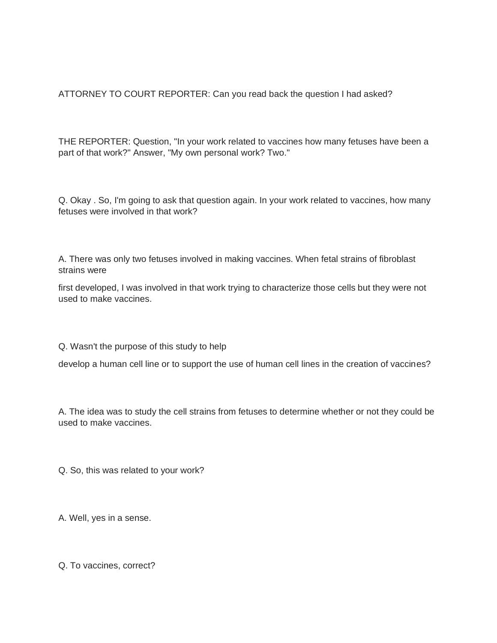ATTORNEY TO COURT REPORTER: Can you read back the question I had asked?

THE REPORTER: Question, "In your work related to vaccines how many fetuses have been a part of that work?" Answer, "My own personal work? Two."

Q. Okay . So, I'm going to ask that question again. In your work related to vaccines, how many fetuses were involved in that work?

A. There was only two fetuses involved in making vaccines. When fetal strains of fibroblast strains were

first developed, I was involved in that work trying to characterize those cells but they were not used to make vaccines.

Q. Wasn't the purpose of this study to help

develop a human cell line or to support the use of human cell lines in the creation of vaccines?

A. The idea was to study the cell strains from fetuses to determine whether or not they could be used to make vaccines.

Q. So, this was related to your work?

A. Well, yes in a sense.

Q. To vaccines, correct?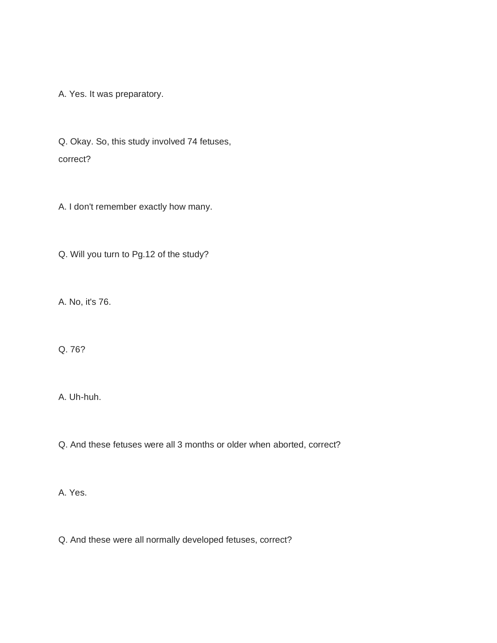A. Yes. It was preparatory.

Q. Okay. So, this study involved 74 fetuses, correct?

A. I don't remember exactly how many.

Q. Will you turn to Pg.12 of the study?

A. No, it's 76.

Q. 76?

A. Uh-huh.

Q. And these fetuses were all 3 months or older when aborted, correct?

A. Yes.

Q. And these were all normally developed fetuses, correct?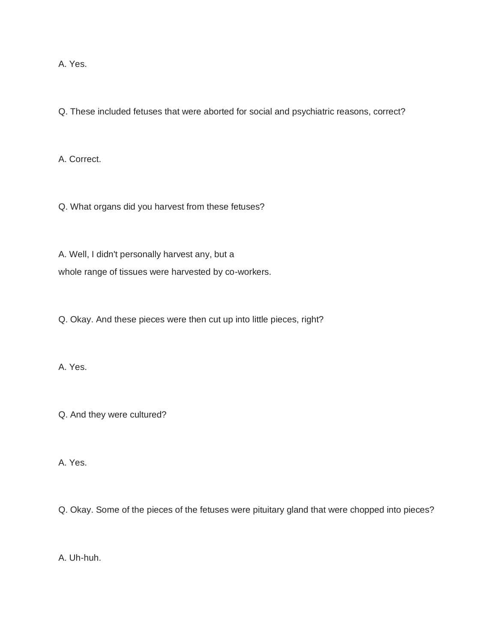A. Yes.

Q. These included fetuses that were aborted for social and psychiatric reasons, correct?

A. Correct.

Q. What organs did you harvest from these fetuses?

A. Well, I didn't personally harvest any, but a whole range of tissues were harvested by co-workers.

Q. Okay. And these pieces were then cut up into little pieces, right?

A. Yes.

Q. And they were cultured?

A. Yes.

Q. Okay. Some of the pieces of the fetuses were pituitary gland that were chopped into pieces?

A. Uh-huh.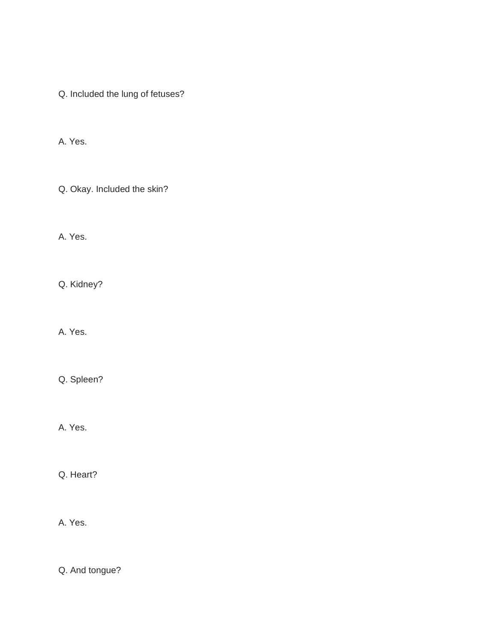Q. Included the lung of fetuses?

A. Yes.

Q. Okay. Included the skin?

A. Yes.

Q. Kidney?

A. Yes.

Q. Spleen?

A. Yes.

Q. Heart?

A. Yes.

Q. And tongue?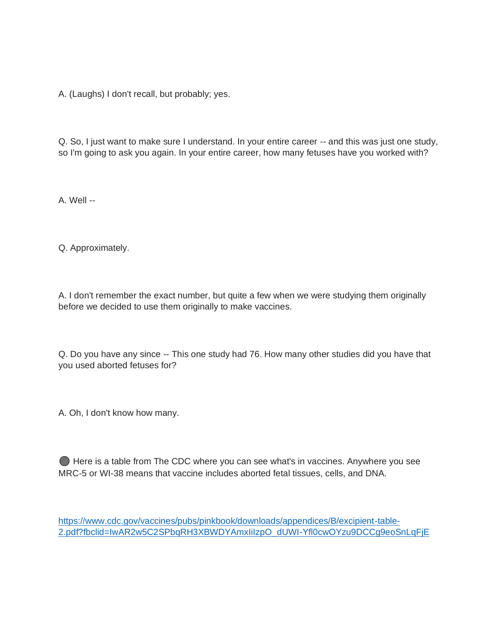A. (Laughs) I don't recall, but probably; yes.

Q. So, I just want to make sure I understand. In your entire career -- and this was just one study, so I'm going to ask you again. In your entire career, how many fetuses have you worked with?

A. Well --

Q. Approximately.

A. I don't remember the exact number, but quite a few when we were studying them originally before we decided to use them originally to make vaccines.

Q. Do you have any since -- This one study had 76. How many other studies did you have that you used aborted fetuses for?

A. Oh, I don't know how many.

Here is a table from The CDC where you can see what's in vaccines. Anywhere you see MRC-5 or WI-38 means that vaccine includes aborted fetal tissues, cells, and DNA.

[https://www.cdc.gov/vaccines/pubs/pinkbook/downloads/appendices/B/excipient-table-](https://www.cdc.gov/vaccines/pubs/pinkbook/downloads/appendices/B/excipient-table-2.pdf?fbclid=IwAR2w5C2SPbqRH3XBWDYAmxIiIzpO_dUWI-Yfl0cwOYzu9DCCg9eoSnLqFjE)[2.pdf?fbclid=IwAR2w5C2SPbqRH3XBWDYAmxIiIzpO\\_dUWI-Yfl0cwOYzu9DCCg9eoSnLqFjE](https://www.cdc.gov/vaccines/pubs/pinkbook/downloads/appendices/B/excipient-table-2.pdf?fbclid=IwAR2w5C2SPbqRH3XBWDYAmxIiIzpO_dUWI-Yfl0cwOYzu9DCCg9eoSnLqFjE)